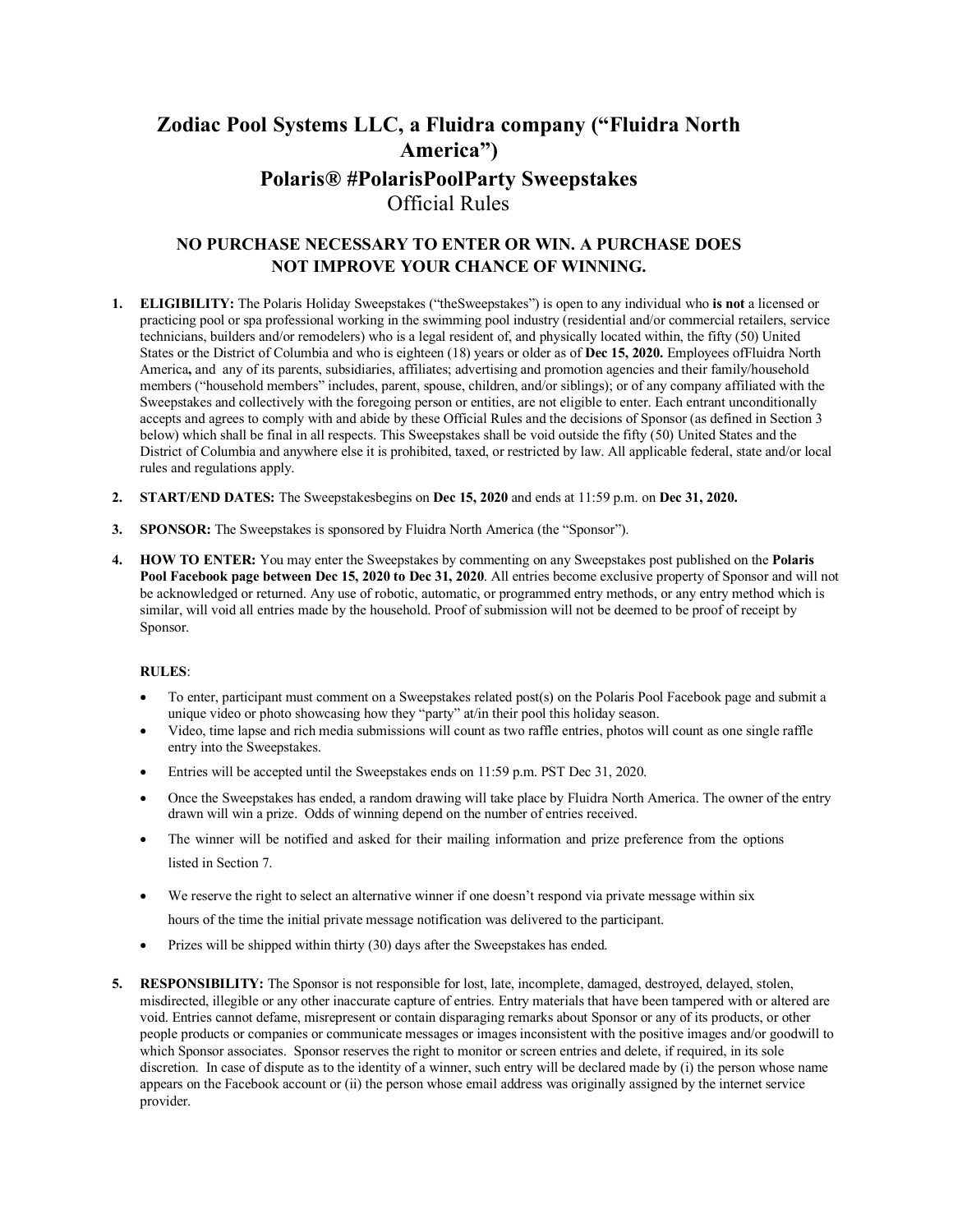# **Zodiac Pool Systems LLC, a Fluidra company ("Fluidra North America") Polaris® #PolarisPoolParty Sweepstakes** Official Rules

## **NO PURCHASE NECESSARY TO ENTER OR WIN. A PURCHASE DOES NOT IMPROVE YOUR CHANCE OF WINNING.**

- **1. ELIGIBILITY:** The Polaris Holiday Sweepstakes ("theSweepstakes") is open to any individual who **is not** a licensed or practicing pool or spa professional working in the swimming pool industry (residential and/or commercial retailers, service technicians, builders and/or remodelers) who is a legal resident of, and physically located within, the fifty (50) United States or the District of Columbia and who is eighteen (18) years or older as of **Dec 15, 2020.** Employees ofFluidra North America**,** and any of its parents, subsidiaries, affiliates; advertising and promotion agencies and their family/household members ("household members" includes, parent, spouse, children, and/or siblings); or of any company affiliated with the Sweepstakes and collectively with the foregoing person or entities, are not eligible to enter. Each entrant unconditionally accepts and agrees to comply with and abide by these Official Rules and the decisions of Sponsor (as defined in Section 3 below) which shall be final in all respects. This Sweepstakes shall be void outside the fifty (50) United States and the District of Columbia and anywhere else it is prohibited, taxed, or restricted by law. All applicable federal, state and/or local rules and regulations apply.
- **2. START/END DATES:** The Sweepstakesbegins on **Dec 15, 2020** and ends at 11:59 p.m. on **Dec 31, 2020.**
- **3. SPONSOR:** The Sweepstakes is sponsored by Fluidra North America (the "Sponsor").
- **4. HOW TO ENTER:** You may enter the Sweepstakes by commenting on any Sweepstakes post published on the **Polaris Pool Facebook page between Dec 15, 2020 to Dec 31, 2020**. All entries become exclusive property of Sponsor and will not be acknowledged or returned. Any use of robotic, automatic, or programmed entry methods, or any entry method which is similar, will void all entries made by the household. Proof of submission will not be deemed to be proof of receipt by Sponsor.

#### **RULES**:

- To enter, participant must comment on a Sweepstakes related post(s) on the Polaris Pool Facebook page and submit a unique video or photo showcasing how they "party" at/in their pool this holiday season.
- Video, time lapse and rich media submissions will count as two raffle entries, photos will count as one single raffle entry into the Sweepstakes.
- Entries will be accepted until the Sweepstakes ends on 11:59 p.m. PST Dec 31, 2020.
- Once the Sweepstakes has ended, a random drawing will take place by Fluidra North America. The owner of the entry drawn will win a prize. Odds of winning depend on the number of entries received.
- The winner will be notified and asked for their mailing information and prize preference from the options listed in Section 7.
- We reserve the right to select an alternative winner if one doesn't respond via private message within six
	- hours of the time the initial private message notification was delivered to the participant.
- Prizes will be shipped within thirty (30) days after the Sweepstakes has ended.
- **5. RESPONSIBILITY:** The Sponsor is not responsible for lost, late, incomplete, damaged, destroyed, delayed, stolen, misdirected, illegible or any other inaccurate capture of entries. Entry materials that have been tampered with or altered are void. Entries cannot defame, misrepresent or contain disparaging remarks about Sponsor or any of its products, or other people products or companies or communicate messages or images inconsistent with the positive images and/or goodwill to which Sponsor associates. Sponsor reserves the right to monitor or screen entries and delete, if required, in its sole discretion. In case of dispute as to the identity of a winner, such entry will be declared made by (i) the person whose name appears on the Facebook account or (ii) the person whose email address was originally assigned by the internet service provider.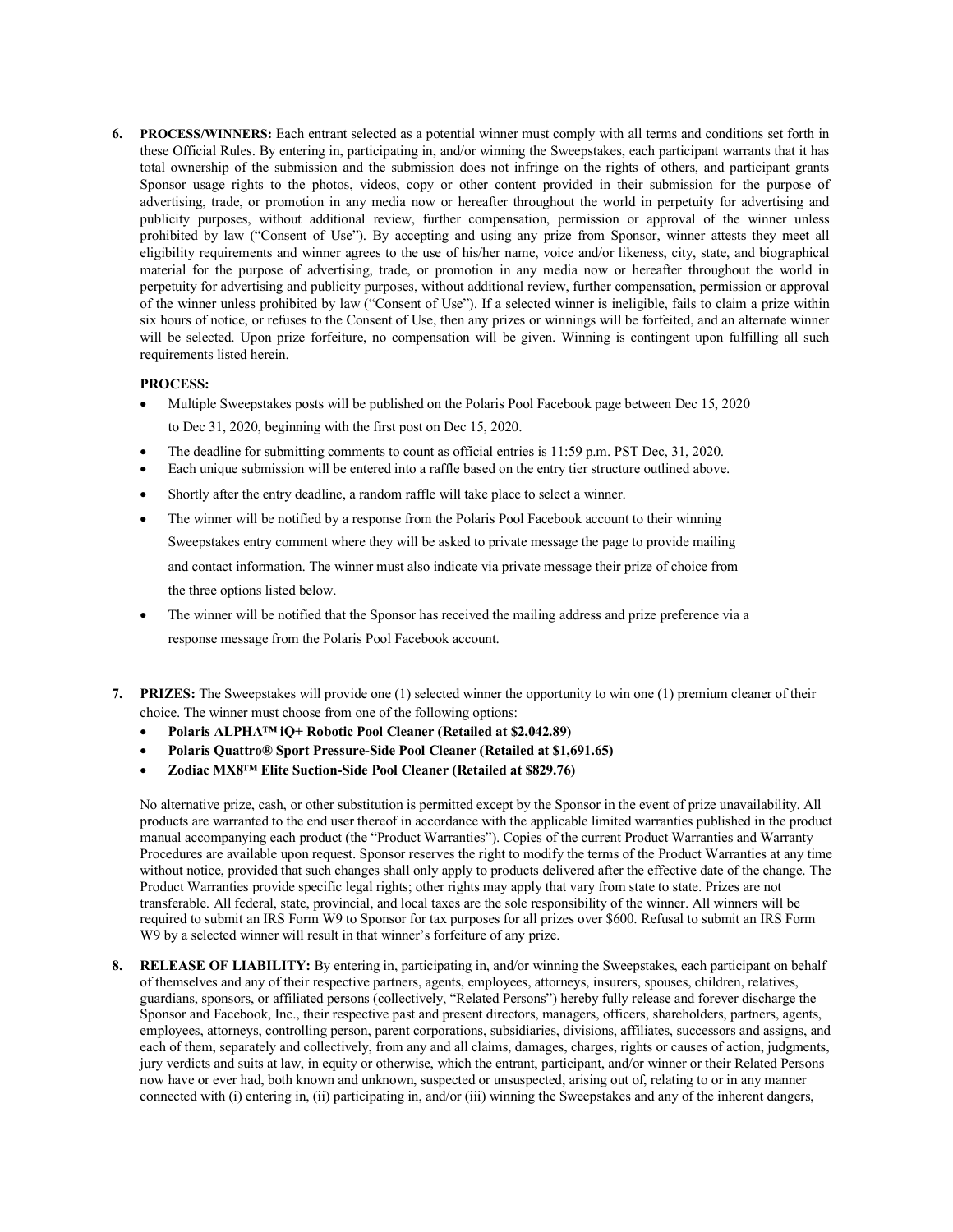**6. PROCESS/WINNERS:** Each entrant selected as a potential winner must comply with all terms and conditions set forth in these Official Rules. By entering in, participating in, and/or winning the Sweepstakes, each participant warrants that it has total ownership of the submission and the submission does not infringe on the rights of others, and participant grants Sponsor usage rights to the photos, videos, copy or other content provided in their submission for the purpose of advertising, trade, or promotion in any media now or hereafter throughout the world in perpetuity for advertising and publicity purposes, without additional review, further compensation, permission or approval of the winner unless prohibited by law ("Consent of Use"). By accepting and using any prize from Sponsor, winner attests they meet all eligibility requirements and winner agrees to the use of his/her name, voice and/or likeness, city, state, and biographical material for the purpose of advertising, trade, or promotion in any media now or hereafter throughout the world in perpetuity for advertising and publicity purposes, without additional review, further compensation, permission or approval of the winner unless prohibited by law ("Consent of Use"). If a selected winner is ineligible, fails to claim a prize within six hours of notice, or refuses to the Consent of Use, then any prizes or winnings will be forfeited, and an alternate winner will be selected. Upon prize forfeiture, no compensation will be given. Winning is contingent upon fulfilling all such requirements listed herein.

### **PROCESS:**

- Multiple Sweepstakes posts will be published on the Polaris Pool Facebook page between Dec 15, 2020 to Dec 31, 2020, beginning with the first post on Dec 15, 2020.
- The deadline for submitting comments to count as official entries is 11:59 p.m. PST Dec, 31, 2020.
- Each unique submission will be entered into a raffle based on the entry tier structure outlined above.
- Shortly after the entry deadline, a random raffle will take place to select a winner.
- The winner will be notified by a response from the Polaris Pool Facebook account to their winning Sweepstakes entry comment where they will be asked to private message the page to provide mailing and contact information. The winner must also indicate via private message their prize of choice from the three options listed below.
- The winner will be notified that the Sponsor has received the mailing address and prize preference via a response message from the Polaris Pool Facebook account.
- **7. PRIZES:** The Sweepstakes will provide one (1) selected winner the opportunity to win one (1) premium cleaner of their choice. The winner must choose from one of the following options:
	- **Polaris ALPHA™ iQ+ Robotic Pool Cleaner (Retailed at \$2,042.89)**
	- **Polaris Quattro® Sport Pressure-Side Pool Cleaner (Retailed at \$1,691.65)**
	- **Zodiac MX8™ Elite Suction-Side Pool Cleaner (Retailed at \$829.76)**

No alternative prize, cash, or other substitution is permitted except by the Sponsor in the event of prize unavailability. All products are warranted to the end user thereof in accordance with the applicable limited warranties published in the product manual accompanying each product (the "Product Warranties"). Copies of the current Product Warranties and Warranty Procedures are available upon request. Sponsor reserves the right to modify the terms of the Product Warranties at any time without notice, provided that such changes shall only apply to products delivered after the effective date of the change. The Product Warranties provide specific legal rights; other rights may apply that vary from state to state. Prizes are not transferable. All federal, state, provincial, and local taxes are the sole responsibility of the winner. All winners will be required to submit an IRS Form W9 to Sponsor for tax purposes for all prizes over \$600. Refusal to submit an IRS Form W9 by a selected winner will result in that winner's forfeiture of any prize.

**8. RELEASE OF LIABILITY:** By entering in, participating in, and/or winning the Sweepstakes, each participant on behalf of themselves and any of their respective partners, agents, employees, attorneys, insurers, spouses, children, relatives, guardians, sponsors, or affiliated persons (collectively, "Related Persons") hereby fully release and forever discharge the Sponsor and Facebook, Inc., their respective past and present directors, managers, officers, shareholders, partners, agents, employees, attorneys, controlling person, parent corporations, subsidiaries, divisions, affiliates, successors and assigns, and each of them, separately and collectively, from any and all claims, damages, charges, rights or causes of action, judgments, jury verdicts and suits at law, in equity or otherwise, which the entrant, participant, and/or winner or their Related Persons now have or ever had, both known and unknown, suspected or unsuspected, arising out of, relating to or in any manner connected with (i) entering in, (ii) participating in, and/or (iii) winning the Sweepstakes and any of the inherent dangers,